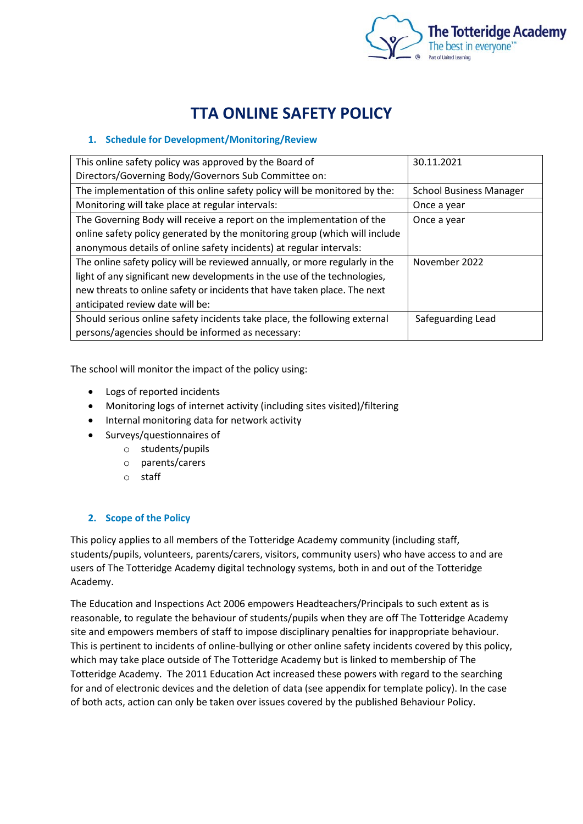

# **TTA ONLINE SAFETY POLICY**

# **1. Schedule for Development/Monitoring/Review**

| This online safety policy was approved by the Board of                       | 30.11.2021                     |
|------------------------------------------------------------------------------|--------------------------------|
| Directors/Governing Body/Governors Sub Committee on:                         |                                |
| The implementation of this online safety policy will be monitored by the:    | <b>School Business Manager</b> |
| Monitoring will take place at regular intervals:                             | Once a year                    |
| The Governing Body will receive a report on the implementation of the        | Once a year                    |
| online safety policy generated by the monitoring group (which will include   |                                |
| anonymous details of online safety incidents) at regular intervals:          |                                |
| The online safety policy will be reviewed annually, or more regularly in the | November 2022                  |
| light of any significant new developments in the use of the technologies,    |                                |
| new threats to online safety or incidents that have taken place. The next    |                                |
| anticipated review date will be:                                             |                                |
| Should serious online safety incidents take place, the following external    | Safeguarding Lead              |
| persons/agencies should be informed as necessary:                            |                                |

The school will monitor the impact of the policy using:

- Logs of reported incidents
- Monitoring logs of internet activity (including sites visited)/filtering
- Internal monitoring data for network activity
- Surveys/questionnaires of
	- o students/pupils
	- o parents/carers
	- o staff

# **2. Scope of the Policy**

This policy applies to all members of the Totteridge Academy community (including staff, students/pupils, volunteers, parents/carers, visitors, community users) who have access to and are users of The Totteridge Academy digital technology systems, both in and out of the Totteridge Academy.

The Education and Inspections Act 2006 empowers Headteachers/Principals to such extent as is reasonable, to regulate the behaviour of students/pupils when they are off The Totteridge Academy site and empowers members of staff to impose disciplinary penalties for inappropriate behaviour. This is pertinent to incidents of online-bullying or other online safety incidents covered by this policy, which may take place outside of The Totteridge Academy but is linked to membership of The Totteridge Academy. The 2011 Education Act increased these powers with regard to the searching for and of electronic devices and the deletion of data (see appendix for template policy). In the case of both acts, action can only be taken over issues covered by the published Behaviour Policy.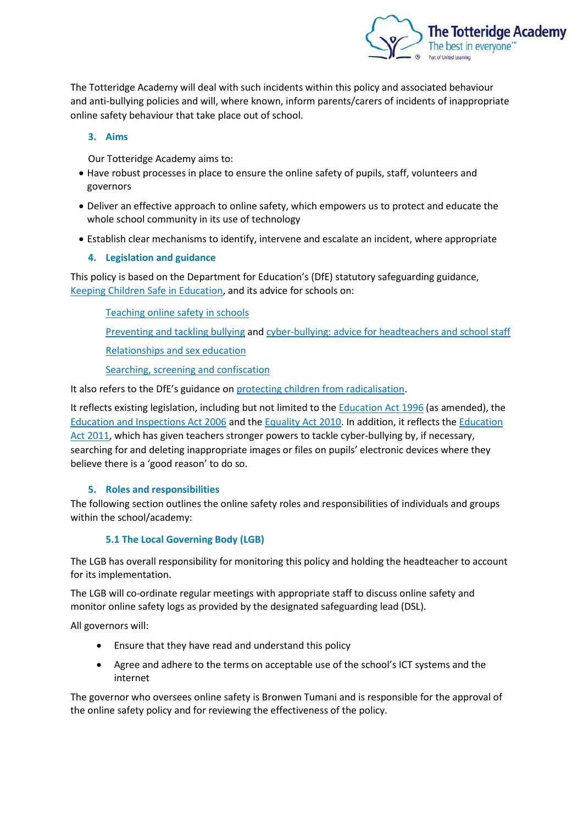

The Totteridge Academy will deal with such incidents within this policy and associated behaviour and anti-bullying policies and will, where known, inform parents/carers of incidents of inappropriate online safety behaviour that take place out of school.

## **3. Aims**

Our Totteridge Academy aims to:

- Have robust processes in place to ensure the online safety of pupils, staff, volunteers and governors
- Deliver an effective approach to online safety, which empowers us to protect and educate the whole school community in its use of technology
- Establish clear mechanisms to identify, intervene and escalate an incident, where appropriate

## **4. Legislation and guidance**

This policy is based on the Department for Education's (DfE) statutory safeguarding guidance, [Keeping Children Safe in Education,](https://www.gov.uk/government/publications/keeping-children-safe-in-education--2) and its advice for schools on:

[Teaching online safety in schools](https://www.gov.uk/government/publications/teaching-online-safety-in-schools)

[Preventing and tackling bullying](https://www.gov.uk/government/publications/preventing-and-tackling-bullying) and [cyber-bullying: advice for headteachers and school staff](https://www.gov.uk/government/publications/preventing-and-tackling-bullying)

[Relationships and sex education](https://www.gov.uk/government/publications/relationships-education-relationships-and-sex-education-rse-and-health-education)

[Searching, screening and confiscation](https://www.gov.uk/government/publications/searching-screening-and-confiscation)

It also refers to the DfE's guidance o[n protecting children from radicalisation.](https://www.gov.uk/government/publications/protecting-children-from-radicalisation-the-prevent-duty)

It reflects existing legislation, including but not limited to the [Education Act 1996](https://www.legislation.gov.uk/ukpga/1996/56/contents) (as amended), the [Education and Inspections Act 2006](https://www.legislation.gov.uk/ukpga/2006/40/contents) and th[e Equality Act 2010.](https://www.legislation.gov.uk/ukpga/2010/15/contents) In addition, it reflects the [Education](http://www.legislation.gov.uk/ukpga/2011/21/contents/enacted)  [Act 2011,](http://www.legislation.gov.uk/ukpga/2011/21/contents/enacted) which has given teachers stronger powers to tackle cyber-bullying by, if necessary, searching for and deleting inappropriate images or files on pupils' electronic devices where they believe there is a 'good reason' to do so.

# **5. Roles and responsibilities**

The following section outlines the online safety roles and responsibilities of individuals and groups within the school/academy:

# **5.1 The Local Governing Body (LGB)**

The LGB has overall responsibility for monitoring this policy and holding the headteacher to account for its implementation.

The LGB will co-ordinate regular meetings with appropriate staff to discuss online safety and monitor online safety logs as provided by the designated safeguarding lead (DSL).

All governors will:

- Ensure that they have read and understand this policy
- Agree and adhere to the terms on acceptable use of the school's ICT systems and the internet

The governor who oversees online safety is Bronwen Tumani and is responsible for the approval of the online safety policy and for reviewing the effectiveness of the policy.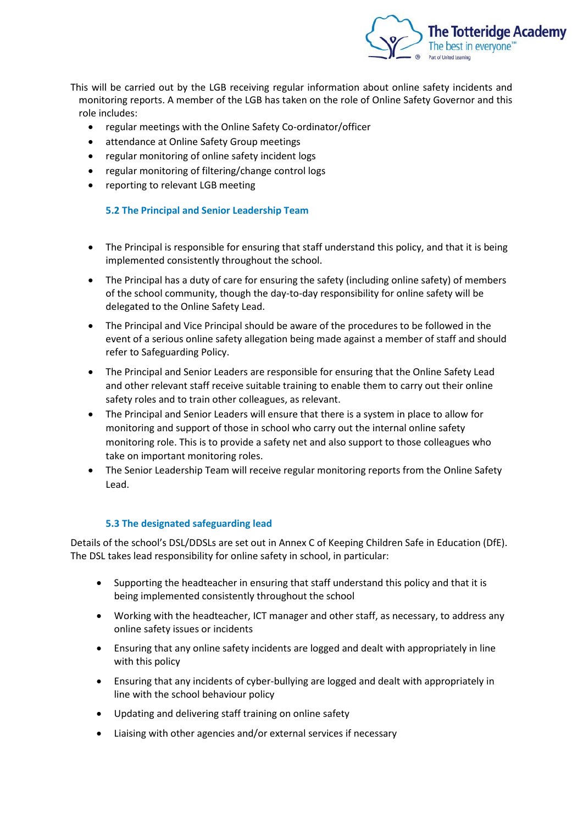

This will be carried out by the LGB receiving regular information about online safety incidents and monitoring reports. A member of the LGB has taken on the role of Online Safety Governor and this role includes:

- regular meetings with the Online Safety Co-ordinator/officer
- attendance at Online Safety Group meetings
- regular monitoring of online safety incident logs
- regular monitoring of filtering/change control logs
- reporting to relevant LGB meeting

## **5.2 The Principal and Senior Leadership Team**

- The Principal is responsible for ensuring that staff understand this policy, and that it is being implemented consistently throughout the school.
- The Principal has a duty of care for ensuring the safety (including online safety) of members of the school community, though the day-to-day responsibility for online safety will be delegated to the Online Safety Lead.
- The Principal and Vice Principal should be aware of the procedures to be followed in the event of a serious online safety allegation being made against a member of staff and should refer to Safeguarding Policy.
- The Principal and Senior Leaders are responsible for ensuring that the Online Safety Lead and other relevant staff receive suitable training to enable them to carry out their online safety roles and to train other colleagues, as relevant.
- The Principal and Senior Leaders will ensure that there is a system in place to allow for monitoring and support of those in school who carry out the internal online safety monitoring role. This is to provide a safety net and also support to those colleagues who take on important monitoring roles.
- The Senior Leadership Team will receive regular monitoring reports from the Online Safety Lead.

#### **5.3 The designated safeguarding lead**

Details of the school's DSL/DDSLs are set out in Annex C of Keeping Children Safe in Education (DfE). The DSL takes lead responsibility for online safety in school, in particular:

- Supporting the headteacher in ensuring that staff understand this policy and that it is being implemented consistently throughout the school
- Working with the headteacher, ICT manager and other staff, as necessary, to address any online safety issues or incidents
- Ensuring that any online safety incidents are logged and dealt with appropriately in line with this policy
- Ensuring that any incidents of cyber-bullying are logged and dealt with appropriately in line with the school behaviour policy
- Updating and delivering staff training on online safety
- Liaising with other agencies and/or external services if necessary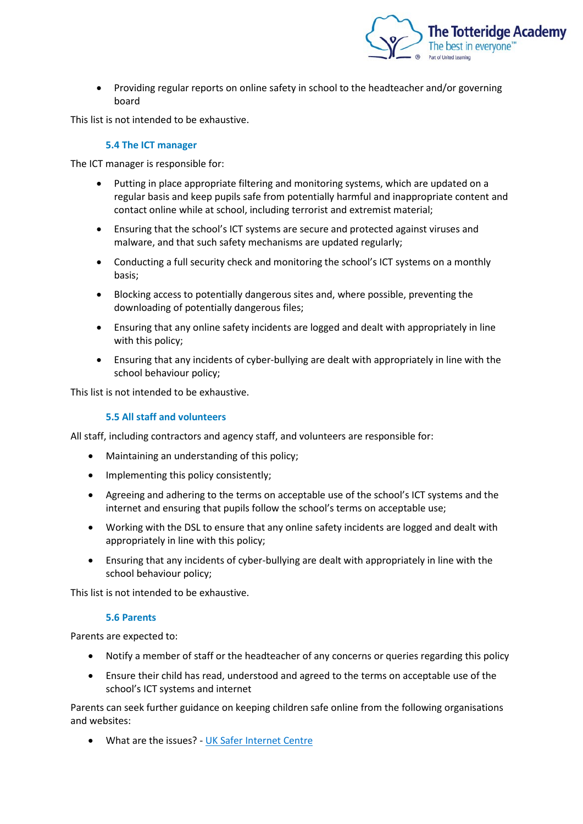

• Providing regular reports on online safety in school to the headteacher and/or governing board

This list is not intended to be exhaustive.

#### **5.4 The ICT manager**

The ICT manager is responsible for:

- Putting in place appropriate filtering and monitoring systems, which are updated on a regular basis and keep pupils safe from potentially harmful and inappropriate content and contact online while at school, including terrorist and extremist material;
- Ensuring that the school's ICT systems are secure and protected against viruses and malware, and that such safety mechanisms are updated regularly;
- Conducting a full security check and monitoring the school's ICT systems on a monthly basis;
- Blocking access to potentially dangerous sites and, where possible, preventing the downloading of potentially dangerous files;
- Ensuring that any online safety incidents are logged and dealt with appropriately in line with this policy;
- Ensuring that any incidents of cyber-bullying are dealt with appropriately in line with the school behaviour policy;

This list is not intended to be exhaustive.

#### **5.5 All staff and volunteers**

All staff, including contractors and agency staff, and volunteers are responsible for:

- Maintaining an understanding of this policy;
- Implementing this policy consistently;
- Agreeing and adhering to the terms on acceptable use of the school's ICT systems and the internet and ensuring that pupils follow the school's terms on acceptable use;
- Working with the DSL to ensure that any online safety incidents are logged and dealt with appropriately in line with this policy;
- Ensuring that any incidents of cyber-bullying are dealt with appropriately in line with the school behaviour policy;

This list is not intended to be exhaustive.

#### **5.6 Parents**

Parents are expected to:

- Notify a member of staff or the headteacher of any concerns or queries regarding this policy
- Ensure their child has read, understood and agreed to the terms on acceptable use of the school's ICT systems and internet

Parents can seek further guidance on keeping children safe online from the following organisations and websites:

• What are the issues? - [UK Safer Internet Centre](https://www.saferinternet.org.uk/advice-centre/parents-and-carers/what-are-issues)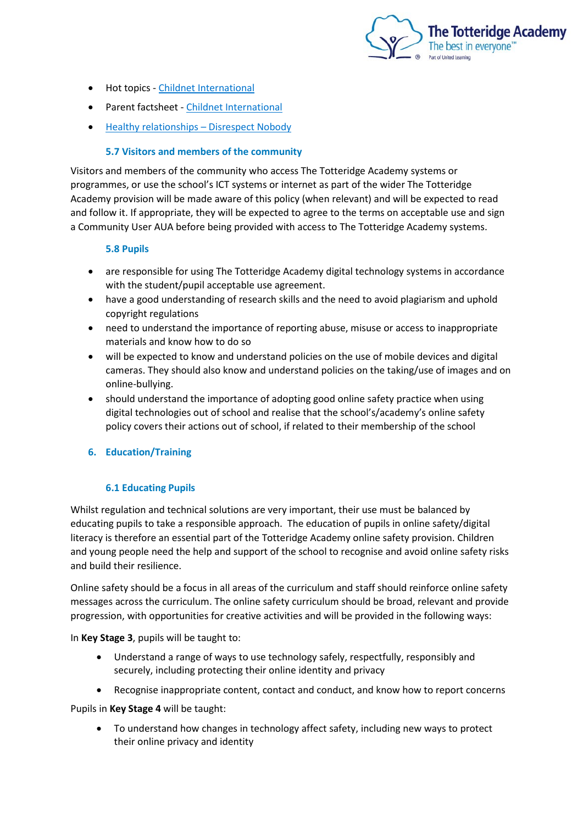

- Hot topics [Childnet International](http://www.childnet.com/parents-and-carers/hot-topics)
- Parent factsheet [Childnet International](https://www.childnet.com/resources/parents-and-carers-resource-sheet)
- Healthy relationships [Disrespect Nobody](https://www.disrespectnobody.co.uk/)

## **5.7 Visitors and members of the community**

Visitors and members of the community who access The Totteridge Academy systems or programmes, or use the school's ICT systems or internet as part of the wider The Totteridge Academy provision will be made aware of this policy (when relevant) and will be expected to read and follow it. If appropriate, they will be expected to agree to the terms on acceptable use and sign a Community User AUA before being provided with access to The Totteridge Academy systems.

#### **5.8 Pupils**

- are responsible for using The Totteridge Academy digital technology systems in accordance with the student/pupil acceptable use agreement.
- have a good understanding of research skills and the need to avoid plagiarism and uphold copyright regulations
- need to understand the importance of reporting abuse, misuse or access to inappropriate materials and know how to do so
- will be expected to know and understand policies on the use of mobile devices and digital cameras. They should also know and understand policies on the taking/use of images and on online-bullying.
- should understand the importance of adopting good online safety practice when using digital technologies out of school and realise that the school's/academy's online safety policy covers their actions out of school, if related to their membership of the school

#### **6. Education/Training**

#### **6.1 Educating Pupils**

Whilst regulation and technical solutions are very important, their use must be balanced by educating pupils to take a responsible approach. The education of pupils in online safety/digital literacy is therefore an essential part of the Totteridge Academy online safety provision. Children and young people need the help and support of the school to recognise and avoid online safety risks and build their resilience.

Online safety should be a focus in all areas of the curriculum and staff should reinforce online safety messages across the curriculum. The online safety curriculum should be broad, relevant and provide progression, with opportunities for creative activities and will be provided in the following ways:

In **Key Stage 3**, pupils will be taught to:

- Understand a range of ways to use technology safely, respectfully, responsibly and securely, including protecting their online identity and privacy
- Recognise inappropriate content, contact and conduct, and know how to report concerns

Pupils in **Key Stage 4** will be taught:

• To understand how changes in technology affect safety, including new ways to protect their online privacy and identity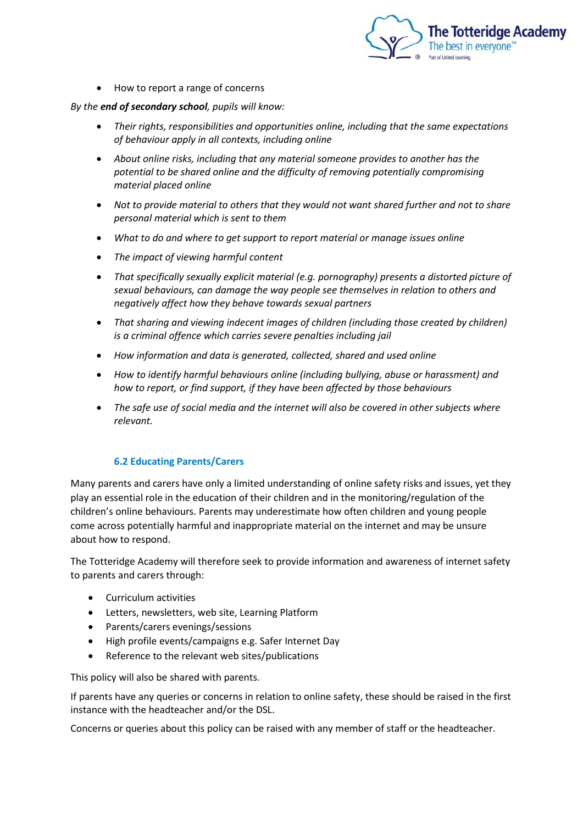

• How to report a range of concerns

#### *By the end of secondary school, pupils will know:*

- *Their rights, responsibilities and opportunities online, including that the same expectations of behaviour apply in all contexts, including online*
- *About online risks, including that any material someone provides to another has the potential to be shared online and the difficulty of removing potentially compromising material placed online*
- *Not to provide material to others that they would not want shared further and not to share personal material which is sent to them*
- *What to do and where to get support to report material or manage issues online*
- *The impact of viewing harmful content*
- *That specifically sexually explicit material (e.g. pornography) presents a distorted picture of sexual behaviours, can damage the way people see themselves in relation to others and negatively affect how they behave towards sexual partners*
- *That sharing and viewing indecent images of children (including those created by children) is a criminal offence which carries severe penalties including jail*
- *How information and data is generated, collected, shared and used online*
- *How to identify harmful behaviours online (including bullying, abuse or harassment) and how to report, or find support, if they have been affected by those behaviours*
- *The safe use of social media and the internet will also be covered in other subjects where relevant.*

#### **6.2 Educating Parents/Carers**

Many parents and carers have only a limited understanding of online safety risks and issues, yet they play an essential role in the education of their children and in the monitoring/regulation of the children's online behaviours. Parents may underestimate how often children and young people come across potentially harmful and inappropriate material on the internet and may be unsure about how to respond.

The Totteridge Academy will therefore seek to provide information and awareness of internet safety to parents and carers through:

- Curriculum activities
- Letters, newsletters, web site, Learning Platform
- Parents/carers evenings/sessions
- High profile events/campaigns e.g. Safer Internet Day
- Reference to the relevant web sites/publications

This policy will also be shared with parents.

If parents have any queries or concerns in relation to online safety, these should be raised in the first instance with the headteacher and/or the DSL.

Concerns or queries about this policy can be raised with any member of staff or the headteacher.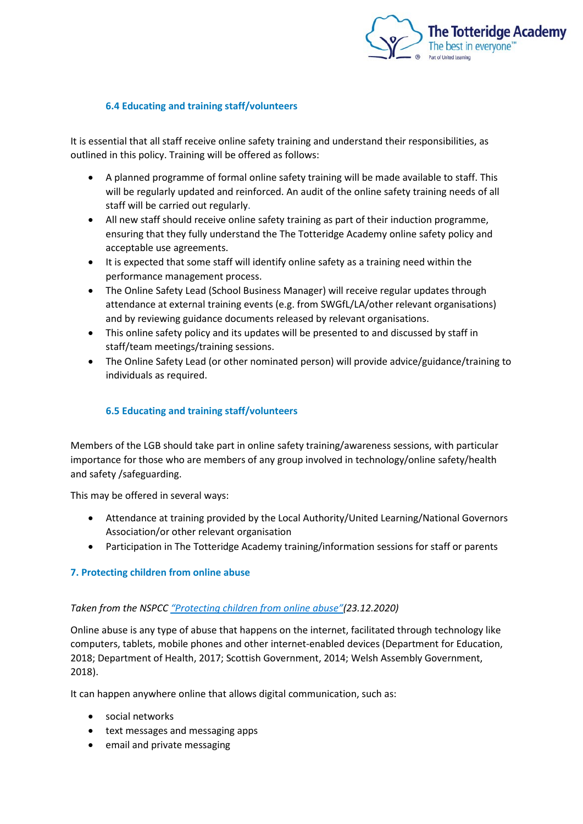

## **6.4 Educating and training staff/volunteers**

It is essential that all staff receive online safety training and understand their responsibilities, as outlined in this policy. Training will be offered as follows:

- A planned programme of formal online safety training will be made available to staff. This will be regularly updated and reinforced. An audit of the online safety training needs of all staff will be carried out regularly.
- All new staff should receive online safety training as part of their induction programme, ensuring that they fully understand the The Totteridge Academy online safety policy and acceptable use agreements.
- It is expected that some staff will identify online safety as a training need within the performance management process.
- The Online Safety Lead (School Business Manager) will receive regular updates through attendance at external training events (e.g. from SWGfL/LA/other relevant organisations) and by reviewing guidance documents released by relevant organisations.
- This online safety policy and its updates will be presented to and discussed by staff in staff/team meetings/training sessions.
- The Online Safety Lead (or other nominated person) will provide advice/guidance/training to individuals as required.

## **6.5 Educating and training staff/volunteers**

Members of the LGB should take part in online safety training/awareness sessions, with particular importance for those who are members of any group involved in technology/online safety/health and safety /safeguarding.

This may be offered in several ways:

- Attendance at training provided by the Local Authority/United Learning/National Governors Association/or other relevant organisation
- Participation in The Totteridge Academy training/information sessions for staff or parents

#### **7. Protecting children from online abuse**

#### *Taken from the NSPCC ["Protecting children from online abuse"\(](https://learning.nspcc.org.uk/child-abuse-and-neglect/online-abuse)23.12.2020)*

Online abuse is any type of abuse that happens on the internet, facilitated through technology like computers, tablets, mobile phones and other internet-enabled devices (Department for Education, 2018; Department of Health, 2017; Scottish Government, 2014; Welsh Assembly Government, 2018).

It can happen anywhere online that allows digital communication, such as:

- social networks
- text messages and messaging apps
- email and private messaging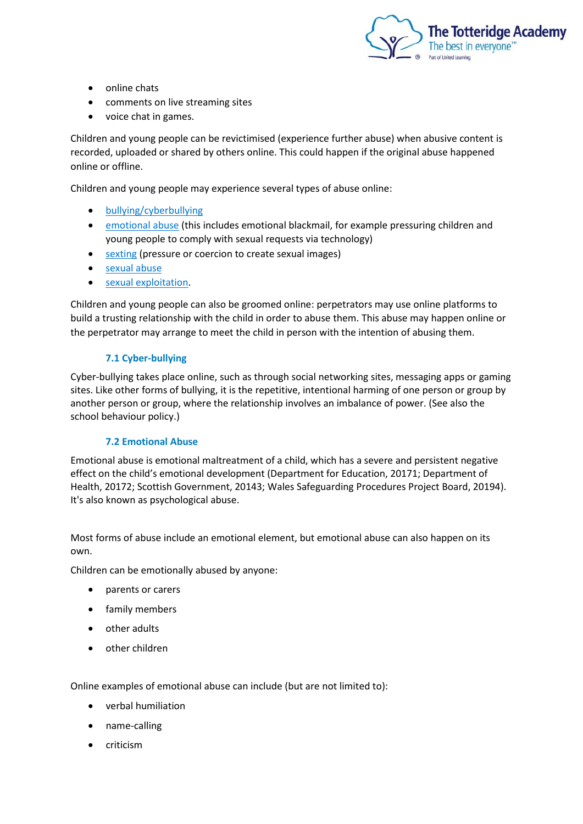

- online chats
- comments on live streaming sites
- voice chat in games.

Children and young people can be revictimised (experience further abuse) when abusive content is recorded, uploaded or shared by others online. This could happen if the original abuse happened online or offline.

Children and young people may experience several types of abuse online:

- [bullying/cyberbullying](https://learning.nspcc.org.uk/child-abuse-and-neglect/bullying/)
- [emotional abuse](https://learning.nspcc.org.uk/child-abuse-and-neglect/emotional-abuse/) (this includes emotional blackmail, for example pressuring children and young people to comply with sexual requests via technology)
- [sexting](https://learning.nspcc.org.uk/research-resources/briefings/sexting-advice-professionals/) (pressure or coercion to create sexual images)
- [sexual abuse](https://learning.nspcc.org.uk/child-abuse-and-neglect/child-sexual-abuse/)
- [sexual exploitation.](https://learning.nspcc.org.uk/child-abuse-and-neglect/child-sexual-exploitation/)

Children and young people can also be groomed online: perpetrators may use online platforms to build a trusting relationship with the child in order to abuse them. This abuse may happen online or the perpetrator may arrange to meet the child in person with the intention of abusing them.

#### **7.1 Cyber-bullying**

Cyber-bullying takes place online, such as through social networking sites, messaging apps or gaming sites. Like other forms of bullying, it is the repetitive, intentional harming of one person or group by another person or group, where the relationship involves an imbalance of power. (See also the school behaviour policy.)

#### **7.2 Emotional Abuse**

Emotional abuse is emotional maltreatment of a child, which has a severe and persistent negative effect on the child's emotional development (Department for Education, 20171; Department of Health, 20172; Scottish Government, 20143; Wales Safeguarding Procedures Project Board, 20194). It's also known as psychological abuse.

Most forms of abuse include an emotional element, but emotional abuse can also happen on its own.

Children can be emotionally abused by anyone:

- parents or carers
- family members
- other adults
- other children

Online examples of emotional abuse can include (but are not limited to):

- verbal humiliation
- name-calling
- criticism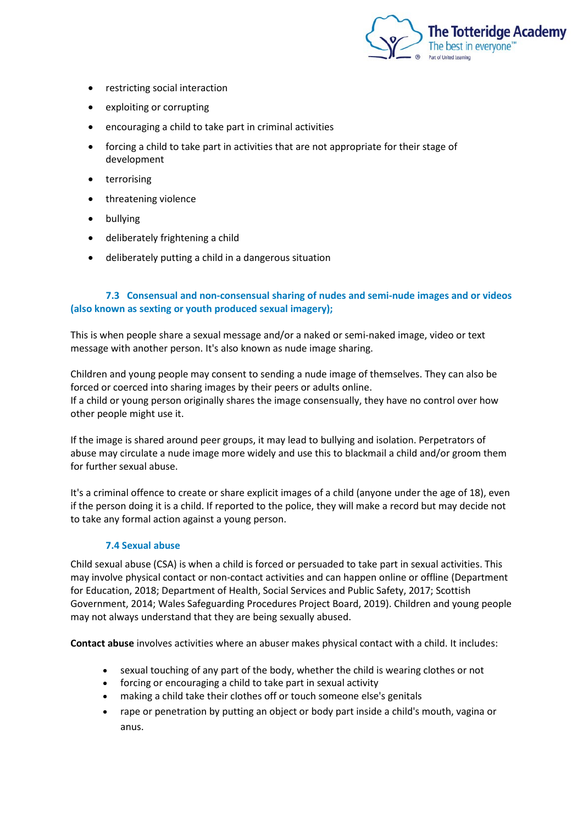

- restricting social interaction
- exploiting or corrupting
- encouraging a child to take part in criminal activities
- forcing a child to take part in activities that are not appropriate for their stage of development
- terrorising
- threatening violence
- bullying
- deliberately frightening a child
- deliberately putting a child in a dangerous situation

## **7.3 Consensual and non-consensual sharing of nudes and semi-nude images and or videos (also known as sexting or youth produced sexual imagery);**

This is when people share a sexual message and/or a naked or semi-naked image, video or text message with another person. It's also known as nude image sharing.

Children and young people may consent to sending a nude image of themselves. They can also be forced or coerced into sharing images by their peers or adults online. If a child or young person originally shares the image consensually, they have no control over how other people might use it.

If the image is shared around peer groups, it may lead to bullying and isolation. Perpetrators of abuse may circulate a nude image more widely and use this to blackmail a child and/or groom them for further sexual abuse.

It's a criminal offence to create or share explicit images of a child (anyone under the age of 18), even if the person doing it is a child. If reported to the police, they will make a record but may decide not to take any formal action against a young person.

#### **7.4 Sexual abuse**

Child sexual abuse (CSA) is when a child is forced or persuaded to take part in sexual activities. This may involve physical contact or non-contact activities and can happen online or offline (Department for Education, 2018; Department of Health, Social Services and Public Safety, 2017; Scottish Government, 2014; Wales Safeguarding Procedures Project Board, 2019). Children and young people may not always understand that they are being sexually abused.

**Contact abuse** involves activities where an abuser makes physical contact with a child. It includes:

- sexual touching of any part of the body, whether the child is wearing clothes or not
- forcing or encouraging a child to take part in sexual activity
- making a child take their clothes off or touch someone else's genitals
- rape or penetration by putting an object or body part inside a child's mouth, vagina or anus.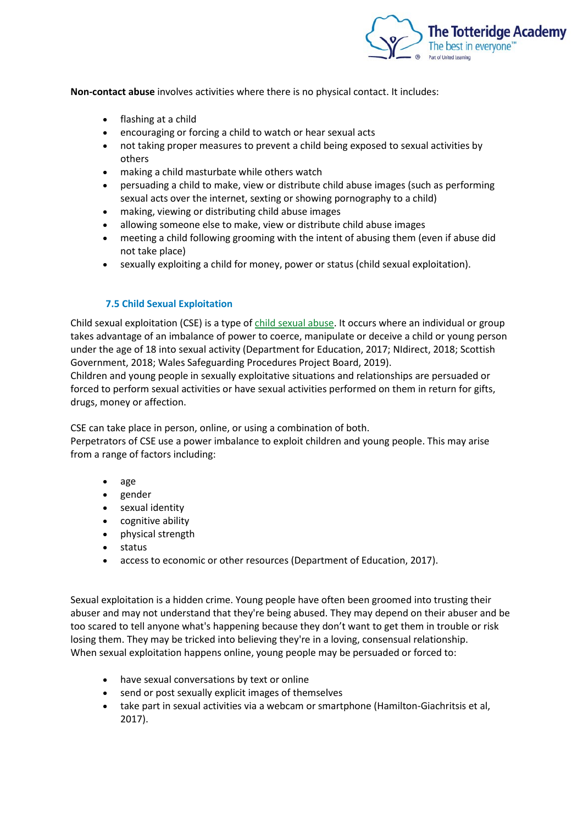

**Non-contact abuse** involves activities where there is no physical contact. It includes:

- flashing at a child
- encouraging or forcing a child to watch or hear sexual acts
- not taking proper measures to prevent a child being exposed to sexual activities by others
- making a child masturbate while others watch
- persuading a child to make, view or distribute child abuse images (such as performing sexual acts over the internet, sexting or showing pornography to a child)
- making, viewing or distributing child abuse images
- allowing someone else to make, view or distribute child abuse images
- meeting a child following grooming with the intent of abusing them (even if abuse did not take place)
- sexually exploiting a child for money, power or status (child sexual exploitation).

#### **7.5 Child Sexual Exploitation**

Child sexual exploitation (CSE) is a type of [child sexual abuse.](https://learning.nspcc.org.uk/child-abuse-and-neglect/child-sexual-abuse/) It occurs where an individual or group takes advantage of an imbalance of power to coerce, manipulate or deceive a child or young person under the age of 18 into sexual activity (Department for Education, 2017; NIdirect, 2018; Scottish Government, 2018; Wales Safeguarding Procedures Project Board, 2019).

Children and young people in sexually exploitative situations and relationships are persuaded or forced to perform sexual activities or have sexual activities performed on them in return for gifts, drugs, money or affection.

CSE can take place in person, online, or using a combination of both.

Perpetrators of CSE use a power imbalance to exploit children and young people. This may arise from a range of factors including:

- age
- gender
- sexual identity
- cognitive ability
- physical strength
- status
- access to economic or other resources (Department of Education, 2017).

Sexual exploitation is a hidden crime. Young people have often been groomed into trusting their abuser and may not understand that they're being abused. They may depend on their abuser and be too scared to tell anyone what's happening because they don't want to get them in trouble or risk losing them. They may be tricked into believing they're in a loving, consensual relationship. When sexual exploitation happens online, young people may be persuaded or forced to:

- have sexual conversations by text or online
- send or post sexually explicit images of themselves
- take part in sexual activities via a webcam or smartphone (Hamilton-Giachritsis et al, 2017).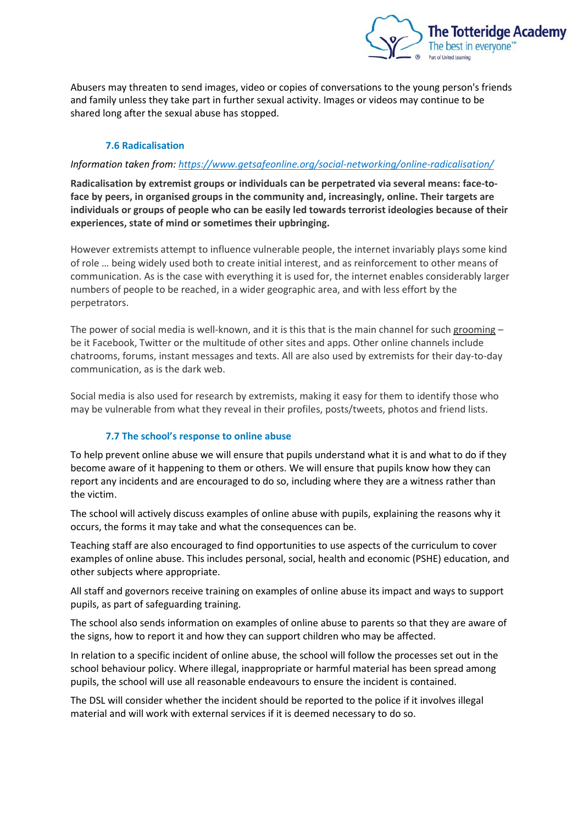

Abusers may threaten to send images, video or copies of conversations to the young person's friends and family unless they take part in further sexual activity. Images or videos may continue to be shared long after the sexual abuse has stopped.

# **7.6 Radicalisation**

## *Information taken from:<https://www.getsafeonline.org/social-networking/online-radicalisation/>*

**Radicalisation by extremist groups or individuals can be perpetrated via several means: face-toface by peers, in organised groups in the community and, increasingly, online. Their targets are individuals or groups of people who can be easily led towards terrorist ideologies because of their experiences, state of mind or sometimes their upbringing.**

However extremists attempt to influence vulnerable people, the internet invariably plays some kind of role … being widely used both to create initial interest, and as reinforcement to other means of communication. As is the case with everything it is used for, the internet enables considerably larger numbers of people to be reached, in a wider geographic area, and with less effort by the perpetrators.

The power of social media is well-known, and it is this that is the main channel for such [grooming](https://www.getsafeonline.org/social-networking/online-radicalisation/)  $$ be it Facebook, Twitter or the multitude of other sites and apps. Other online channels include chatrooms, forums, instant messages and texts. All are also used by extremists for their day-to-day communication, as is the dark web.

Social media is also used for research by extremists, making it easy for them to identify those who may be vulnerable from what they reveal in their profiles, posts/tweets, photos and friend lists.

#### **7.7 The school's response to online abuse**

To help prevent online abuse we will ensure that pupils understand what it is and what to do if they become aware of it happening to them or others. We will ensure that pupils know how they can report any incidents and are encouraged to do so, including where they are a witness rather than the victim.

The school will actively discuss examples of online abuse with pupils, explaining the reasons why it occurs, the forms it may take and what the consequences can be.

Teaching staff are also encouraged to find opportunities to use aspects of the curriculum to cover examples of online abuse. This includes personal, social, health and economic (PSHE) education, and other subjects where appropriate.

All staff and governors receive training on examples of online abuse its impact and ways to support pupils, as part of safeguarding training.

The school also sends information on examples of online abuse to parents so that they are aware of the signs, how to report it and how they can support children who may be affected.

In relation to a specific incident of online abuse, the school will follow the processes set out in the school behaviour policy. Where illegal, inappropriate or harmful material has been spread among pupils, the school will use all reasonable endeavours to ensure the incident is contained.

The DSL will consider whether the incident should be reported to the police if it involves illegal material and will work with external services if it is deemed necessary to do so.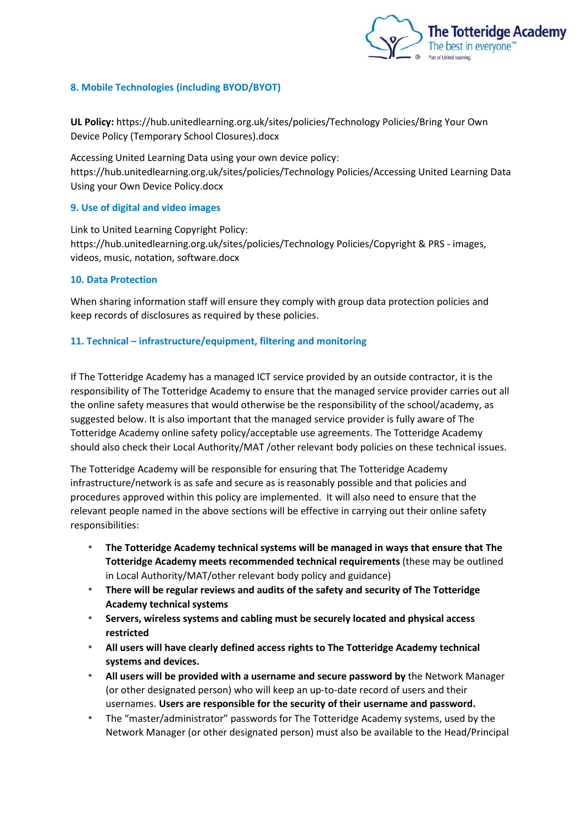

## **8. Mobile Technologies (including BYOD/BYOT)**

**UL Policy:** https://hub.unitedlearning.org.uk/sites/policies/Technology Policies/Bring Your Own Device Policy (Temporary School Closures).docx

Accessing United Learning Data using your own device policy: https://hub.unitedlearning.org.uk/sites/policies/Technology Policies/Accessing United Learning Data Using your Own Device Policy.docx

## **9. Use of digital and video images**

Link to United Learning Copyright Policy: https://hub.unitedlearning.org.uk/sites/policies/Technology Policies/Copyright & PRS - images, videos, music, notation, software.docx

#### **10. Data Protection**

When sharing information staff will ensure they comply with group data protection policies and keep records of disclosures as required by these policies.

## **11. Technical – infrastructure/equipment, filtering and monitoring**

If The Totteridge Academy has a managed ICT service provided by an outside contractor, it is the responsibility of The Totteridge Academy to ensure that the managed service provider carries out all the online safety measures that would otherwise be the responsibility of the school/academy, as suggested below. It is also important that the managed service provider is fully aware of The Totteridge Academy online safety policy/acceptable use agreements. The Totteridge Academy should also check their Local Authority/MAT /other relevant body policies on these technical issues.

The Totteridge Academy will be responsible for ensuring that The Totteridge Academy infrastructure/network is as safe and secure as is reasonably possible and that policies and procedures approved within this policy are implemented. It will also need to ensure that the relevant people named in the above sections will be effective in carrying out their online safety responsibilities:

- *•* **The Totteridge Academy technical systems will be managed in ways that ensure that The Totteridge Academy meets recommended technical requirements** (these may be outlined in Local Authority/MAT/other relevant body policy and guidance)
- *•* **There will be regular reviews and audits of the safety and security of The Totteridge Academy technical systems**
- *•* **Servers, wireless systems and cabling must be securely located and physical access restricted**
- *•* **All users will have clearly defined access rights to The Totteridge Academy technical systems and devices.**
- *•* **All users will be provided with a username and secure password by** the Network Manager (or other designated person) who will keep an up-to-date record of users and their usernames. **Users are responsible for the security of their username and password.**
- *•* The "master/administrator" passwords for The Totteridge Academy systems, used by the Network Manager (or other designated person) must also be available to the Head/Principal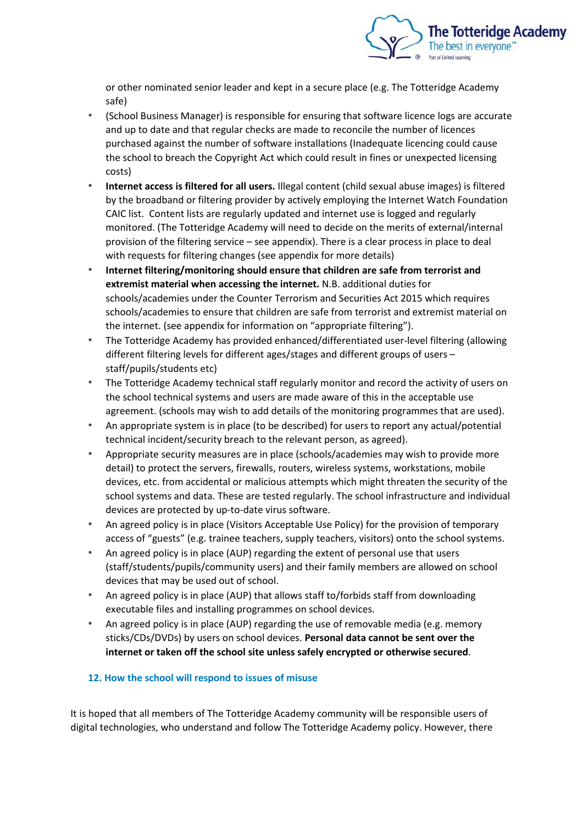

or other nominated senior leader and kept in a secure place (e.g. The Totteridge Academy safe)

- *•* (School Business Manager) is responsible for ensuring that software licence logs are accurate and up to date and that regular checks are made to reconcile the number of licences purchased against the number of software installations (Inadequate licencing could cause the school to breach the Copyright Act which could result in fines or unexpected licensing costs)
- *•* **Internet access is filtered for all users.** Illegal content (child sexual abuse images) is filtered by the broadband or filtering provider by actively employing the Internet Watch Foundation CAIC list. Content lists are regularly updated and internet use is logged and regularly monitored. (The Totteridge Academy will need to decide on the merits of external/internal provision of the filtering service – see appendix). There is a clear process in place to deal with requests for filtering changes (see appendix for more details)
- *•* **Internet filtering/monitoring should ensure that children are safe from terrorist and extremist material when accessing the internet.** N.B. additional duties for schools/academies under the Counter Terrorism and Securities Act 2015 which requires schools/academies to ensure that children are safe from terrorist and extremist material on the internet. (see appendix for information on "appropriate filtering").
- *•* The Totteridge Academy has provided enhanced/differentiated user-level filtering (allowing different filtering levels for different ages/stages and different groups of users – staff/pupils/students etc)
- *•* The Totteridge Academy technical staff regularly monitor and record the activity of users on the school technical systems and users are made aware of this in the acceptable use agreement. (schools may wish to add details of the monitoring programmes that are used).
- *•* An appropriate system is in place (to be described) for users to report any actual/potential technical incident/security breach to the relevant person, as agreed).
- *•* Appropriate security measures are in place (schools/academies may wish to provide more detail) to protect the servers, firewalls, routers, wireless systems, workstations, mobile devices, etc. from accidental or malicious attempts which might threaten the security of the school systems and data. These are tested regularly. The school infrastructure and individual devices are protected by up-to-date virus software.
- *•* An agreed policy is in place (Visitors Acceptable Use Policy) for the provision of temporary access of "guests" (e.g. trainee teachers, supply teachers, visitors) onto the school systems.
- *•* An agreed policy is in place (AUP) regarding the extent of personal use that users (staff/students/pupils/community users) and their family members are allowed on school devices that may be used out of school.
- *•* An agreed policy is in place (AUP) that allows staff to/forbids staff from downloading executable files and installing programmes on school devices.
- *•* An agreed policy is in place (AUP) regarding the use of removable media (e.g. memory sticks/CDs/DVDs) by users on school devices. **Personal data cannot be sent over the internet or taken off the school site unless safely encrypted or otherwise secured**.

# **12. How the school will respond to issues of misuse**

It is hoped that all members of The Totteridge Academy community will be responsible users of digital technologies, who understand and follow The Totteridge Academy policy. However, there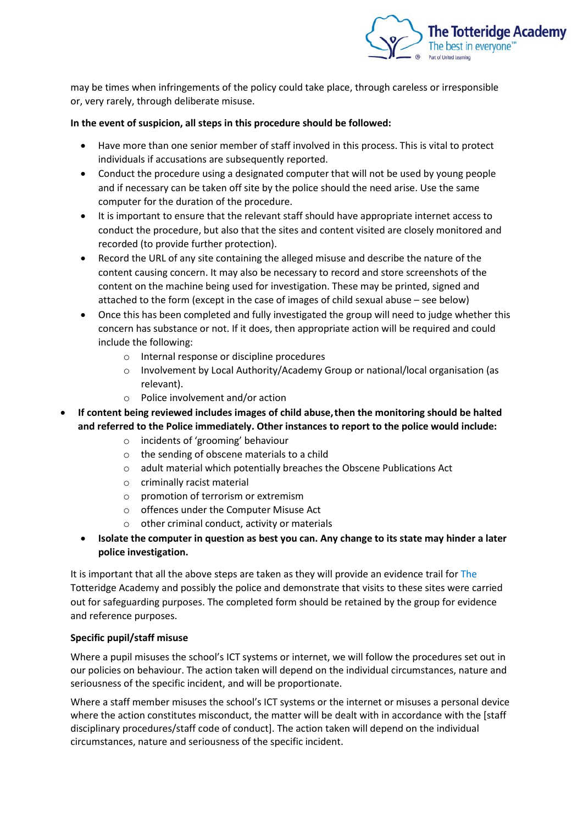

may be times when infringements of the policy could take place, through careless or irresponsible or, very rarely, through deliberate misuse.

## **In the event of suspicion, all steps in this procedure should be followed:**

- Have more than one senior member of staff involved in this process. This is vital to protect individuals if accusations are subsequently reported.
- Conduct the procedure using a designated computer that will not be used by young people and if necessary can be taken off site by the police should the need arise. Use the same computer for the duration of the procedure.
- It is important to ensure that the relevant staff should have appropriate internet access to conduct the procedure, but also that the sites and content visited are closely monitored and recorded (to provide further protection).
- Record the URL of any site containing the alleged misuse and describe the nature of the content causing concern. It may also be necessary to record and store screenshots of the content on the machine being used for investigation. These may be printed, signed and attached to the form (except in the case of images of child sexual abuse – see below)
- Once this has been completed and fully investigated the group will need to judge whether this concern has substance or not. If it does, then appropriate action will be required and could include the following:
	- o Internal response or discipline procedures
	- o Involvement by Local Authority/Academy Group or national/local organisation (as relevant).
	- o Police involvement and/or action
- **If content being reviewed includes images of child abuse,then the monitoring should be halted and referred to the Police immediately. Other instances to report to the police would include:**
	- o incidents of 'grooming' behaviour
	- o the sending of obscene materials to a child
	- o adult material which potentially breaches the Obscene Publications Act
	- o criminally racist material
	- o promotion of terrorism or extremism
	- o offences under the Computer Misuse Act
	- other criminal conduct, activity or materials
	- **Isolate the computer in question as best you can. Any change to its state may hinder a later police investigation.**

It is important that all the above steps are taken as they will provide an evidence trail for The Totteridge Academy and possibly the police and demonstrate that visits to these sites were carried out for safeguarding purposes. The completed form should be retained by the group for evidence and reference purposes.

# **Specific pupil/staff misuse**

Where a pupil misuses the school's ICT systems or internet, we will follow the procedures set out in our policies on behaviour. The action taken will depend on the individual circumstances, nature and seriousness of the specific incident, and will be proportionate.

Where a staff member misuses the school's ICT systems or the internet or misuses a personal device where the action constitutes misconduct, the matter will be dealt with in accordance with the [staff disciplinary procedures/staff code of conduct]. The action taken will depend on the individual circumstances, nature and seriousness of the specific incident.